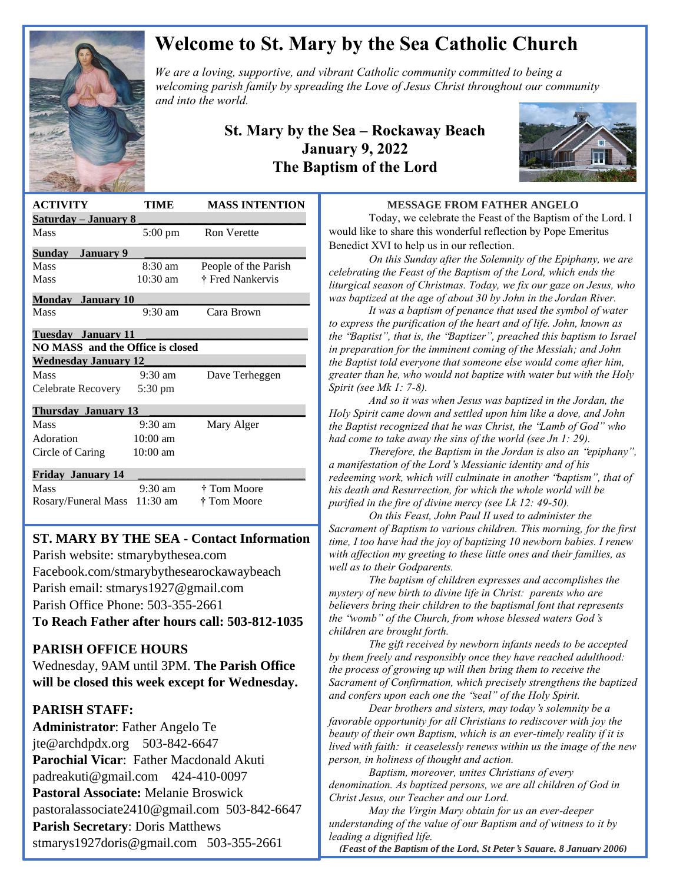

# **Welcome to St. Mary by the Sea Catholic Church**

*We are a loving, supportive, and vibrant Catholic community committed to being a We are a loving, supportive, and vibrant Catholic community committed to being a*  $\mathbb{Z}$ *welcoming parish family by spreading the Love of Jesus Christ throughout our community and into the world.*

### **St. Mary by the Sea – Rockaway Beach January 9, 2022 The Baptism of the Lord**



| <b>ACTIVITY</b>                         | TIME               | <b>MASS INTENTION</b> |
|-----------------------------------------|--------------------|-----------------------|
| <u>Saturday – January 8</u>             |                    |                       |
| Mass                                    | $5:00 \text{ pm}$  | <b>Ron Verette</b>    |
| January 9<br>Sundav                     |                    |                       |
| Mass                                    | $8:30 \text{ am}$  | People of the Parish  |
| Mass                                    | $10:30$ am         | † Fred Nankervis      |
| <b>Monday</b> January 10                |                    |                       |
| <b>Mass</b>                             | $9:30 \text{ am}$  | Cara Brown            |
| Tuesdav Januarv 11                      |                    |                       |
| <b>NO MASS</b> and the Office is closed |                    |                       |
| <b>Wednesday January 12</b>             |                    |                       |
| Mass                                    | $9:30 \text{ am}$  | Dave Terheggen        |
| Celebrate Recovery                      | 5:30 pm            |                       |
| <b>Thursday January 13</b>              |                    |                       |
| Mass                                    | $9:30 \text{ am}$  | Mary Alger            |
| Adoration                               | $10:00$ am         |                       |
| Circle of Caring                        | $10:00 \text{ am}$ |                       |
| <b>Friday January 14</b>                |                    |                       |
| Mass                                    | $9:30$ am          | † Tom Moore           |
| Rosary/Funeral Mass                     | $11:30 \text{ am}$ | † Tom Moore           |
|                                         |                    |                       |

### **ST. MARY BY THE SEA - Contact Information**

 Parish website: stmarybythesea.com Facebook.com/stmarybythesearockawaybeach Parish email: stmarys1927@gmail.com Parish Office Phone: 503-355-2661

**To Reach Father after hours call: 503-812-1035**

### **PARISH OFFICE HOURS**

Wednesday, 9AM until 3PM. **The Parish Office will be closed this week except for Wednesday.** 

### **PARISH STAFF:**

 

> **Administrator**: Father Angelo Te jte@archdpdx.org 503-842-6647 **Parochial Vicar**: Father Macdonald Akuti padreakuti@gmail.com 424-410-0097 **Pastoral Associate:** Melanie Broswick pastoralassociate2410@gmail.com 503-842-6647 **Parish Secretary**: Doris Matthews stmarys1927doris@gmail.com 503-355-2661

#### **MESSAGE FROM FATHER ANGELO**

Today, we celebrate the Feast of the Baptism of the Lord. I would like to share this wonderful reflection by Pope Emeritus Benedict XVI to help us in our reflection.

*On this Sunday after the Solemnity of the Epiphany, we are celebrating the Feast of the Baptism of the Lord, which ends the liturgical season of Christmas. Today, we fix our gaze on Jesus, who was baptized at the age of about 30 by John in the Jordan River.*

*It was a baptism of penance that used the symbol of water to express the purification of the heart and of life. John, known as the* "*Baptist", that is, the* "*Baptizer", preached this baptism to Israel in preparation for the imminent coming of the Messiah; and John the Baptist told everyone that someone else would come after him, greater than he, who would not baptize with water but with the Holy Spirit (see Mk 1: 7-8).*

*And so it was when Jesus was baptized in the Jordan, the Holy Spirit came down and settled upon him like a dove, and John the Baptist recognized that he was Christ, the* "*Lamb of God" who had come to take away the sins of the world (see Jn 1: 29).*

*Therefore, the Baptism in the Jordan is also an* "*epiphany", a manifestation of the Lord*'*s Messianic identity and of his redeeming work, which will culminate in another* "*baptism", that of his death and Resurrection, for which the whole world will be purified in the fire of divine mercy (see Lk 12: 49-50).*

*On this Feast, John Paul II used to administer the Sacrament of Baptism to various children. This morning, for the first time, I too have had the joy of baptizing 10 newborn babies. I renew with affection my greeting to these little ones and their families, as well as to their Godparents.*

*The baptism of children expresses and accomplishes the mystery of new birth to divine life in Christ: parents who are believers bring their children to the baptismal font that represents the* "*womb" of the Church, from whose blessed waters God*'*s children are brought forth.*

*The gift received by newborn infants needs to be accepted by them freely and responsibly once they have reached adulthood: the process of growing up will then bring them to receive the Sacrament of Confirmation, which precisely strengthens the baptized and confers upon each one the* "*seal" of the Holy Spirit.*

*Dear brothers and sisters, may today*'*s solemnity be a favorable opportunity for all Christians to rediscover with joy the beauty of their own Baptism, which is an ever-timely reality if it is lived with faith: it ceaselessly renews within us the image of the new person, in holiness of thought and action.*

*Baptism, moreover, unites Christians of every denomination. As baptized persons, we are all children of God in Christ Jesus, our Teacher and our Lord.*

*May the Virgin Mary obtain for us an ever-deeper understanding of the value of our Baptism and of witness to it by leading a dignified life.*

*(Feast of the Baptism of the Lord, St Peter***'***s Square, 8 January 2006)*